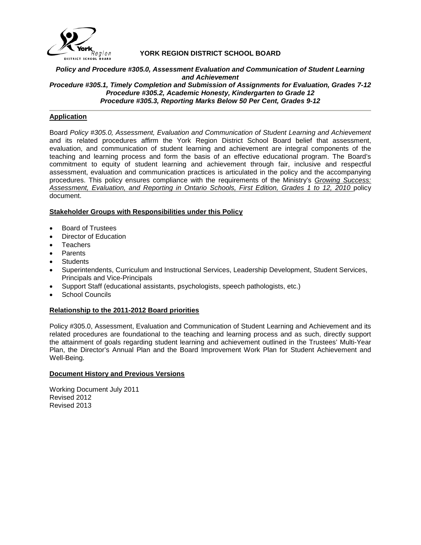

## **YORK REGION DISTRICT SCHOOL BOARD**

#### *Policy and Procedure #305.0, Assessment Evaluation and Communication of Student Learning and Achievement Procedure #305.1, Timely Completion and Submission of Assignments for Evaluation, Grades 7-12 Procedure #305.2, Academic Honesty, Kindergarten to Grade 12 Procedure #305.3, Reporting Marks Below 50 Per Cent, Grades 9-12*

## **Application**

Board *Policy #305.0, Assessment, Evaluation and Communication of Student Learning and Achievement*  and its related procedures affirm the York Region District School Board belief that assessment, evaluation, and communication of student learning and achievement are integral components of the teaching and learning process and form the basis of an effective educational program. The Board's commitment to equity of student learning and achievement through fair, inclusive and respectful assessment, evaluation and communication practices is articulated in the policy and the accompanying procedures. This policy ensures compliance with the requirements of the Ministry's *Growing Success: Assessment, Evaluation, and Reporting in Ontario Schools, First Edition, Grades 1 to 12, 2010* policy document.

## **Stakeholder Groups with Responsibilities under this Policy**

- Board of Trustees
- Director of Education
- **Teachers**
- Parents
- **Students**
- Superintendents, Curriculum and Instructional Services, Leadership Development, Student Services, Principals and Vice-Principals
- Support Staff (educational assistants, psychologists, speech pathologists, etc.)
- School Councils

## **Relationship to the 2011-2012 Board priorities**

Policy #305.0, Assessment, Evaluation and Communication of Student Learning and Achievement and its related procedures are foundational to the teaching and learning process and as such, directly support the attainment of goals regarding student learning and achievement outlined in the Trustees' Multi-Year Plan, the Director's Annual Plan and the Board Improvement Work Plan for Student Achievement and Well-Being.

## **Document History and Previous Versions**

Working Document July 2011 Revised 2012 Revised 2013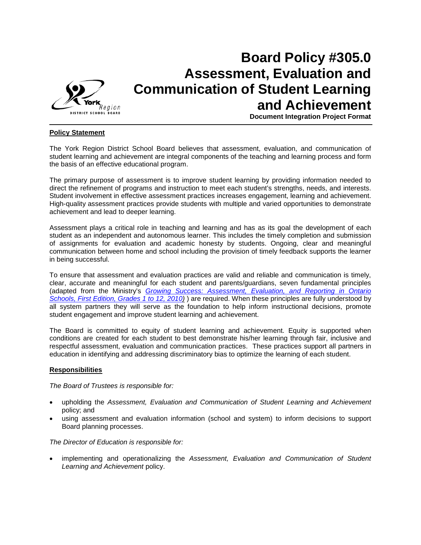

# **Board Policy #305.0 Assessment, Evaluation and Communication of Student Learning and Achievement**

**Document Integration Project Format**

## **Policy Statement**

The York Region District School Board believes that assessment, evaluation, and communication of student learning and achievement are integral components of the teaching and learning process and form the basis of an effective educational program.

The primary purpose of assessment is to improve student learning by providing information needed to direct the refinement of programs and instruction to meet each student's strengths, needs, and interests. Student involvement in effective assessment practices increases engagement, learning and achievement. High-quality assessment practices provide students with multiple and varied opportunities to demonstrate achievement and lead to deeper learning.

Assessment plays a critical role in teaching and learning and has as its goal the development of each student as an independent and autonomous learner. This includes the timely completion and submission of assignments for evaluation and academic honesty by students. Ongoing, clear and meaningful communication between home and school including the provision of timely feedback supports the learner in being successful.

To ensure that assessment and evaluation practices are valid and reliable and communication is timely, clear, accurate and meaningful for each student and parents/guardians, seven fundamental principles (adapted from the Ministry's *[Growing Success: Assessment, Evaluation, and Reporting in Ontario](http://www.yrdsb.edu.on.ca/pdfs/w/schools/MinistryParentBrochure.pdf)  [Schools, First Edition, Grades 1 to 12, 2010\)](http://www.yrdsb.edu.on.ca/pdfs/w/schools/MinistryParentBrochure.pdf)* ) are required. When these principles are fully understood by all system partners they will serve as the foundation to help inform instructional decisions, promote student engagement and improve student learning and achievement.

The Board is committed to equity of student learning and achievement. Equity is supported when conditions are created for each student to best demonstrate his/her learning through fair, inclusive and respectful assessment, evaluation and communication practices. These practices support all partners in education in identifying and addressing discriminatory bias to optimize the learning of each student.

## **Responsibilities**

*The Board of Trustees is responsible for:*

- upholding the *Assessment, Evaluation and Communication of Student Learning and Achievement* policy; and
- using assessment and evaluation information (school and system) to inform decisions to support Board planning processes.

*The Director of Education is responsible for:*

• implementing and operationalizing the *Assessment, Evaluation and Communication of Student Learning and Achievement* policy.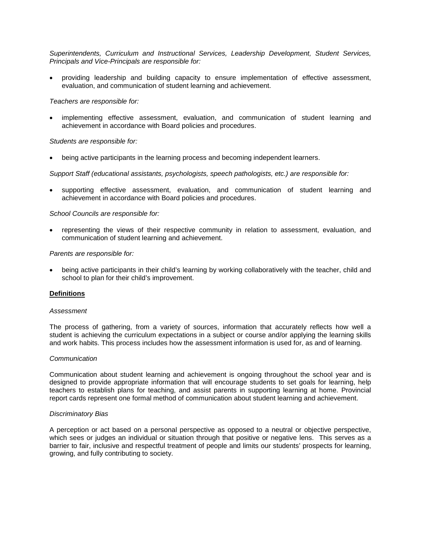*Superintendents, Curriculum and Instructional Services, Leadership Development, Student Services, Principals and Vice-Principals are responsible for:*

• providing leadership and building capacity to ensure implementation of effective assessment, evaluation, and communication of student learning and achievement.

*Teachers are responsible for:*

• implementing effective assessment, evaluation, and communication of student learning and achievement in accordance with Board policies and procedures.

#### *Students are responsible for:*

• being active participants in the learning process and becoming independent learners.

*Support Staff (educational assistants, psychologists, speech pathologists, etc.) are responsible for:*

supporting effective assessment, evaluation, and communication of student learning and achievement in accordance with Board policies and procedures.

#### *School Councils are responsible for:*

• representing the views of their respective community in relation to assessment, evaluation, and communication of student learning and achievement.

#### *Parents are responsible for:*

• being active participants in their child's learning by working collaboratively with the teacher, child and school to plan for their child's improvement.

## **Definitions**

#### *Assessment*

The process of gathering, from a variety of sources, information that accurately reflects how well a student is achieving the curriculum expectations in a subject or course and/or applying the learning skills and work habits. This process includes how the assessment information is used for, as and of learning.

#### *Communication*

Communication about student learning and achievement is ongoing throughout the school year and is designed to provide appropriate information that will encourage students to set goals for learning, help teachers to establish plans for teaching, and assist parents in supporting learning at home. Provincial report cards represent one formal method of communication about student learning and achievement.

#### *Discriminatory Bias*

A perception or act based on a personal perspective as opposed to a neutral or objective perspective, which sees or judges an individual or situation through that positive or negative lens. This serves as a barrier to fair, inclusive and respectful treatment of people and limits our students' prospects for learning, growing, and fully contributing to society.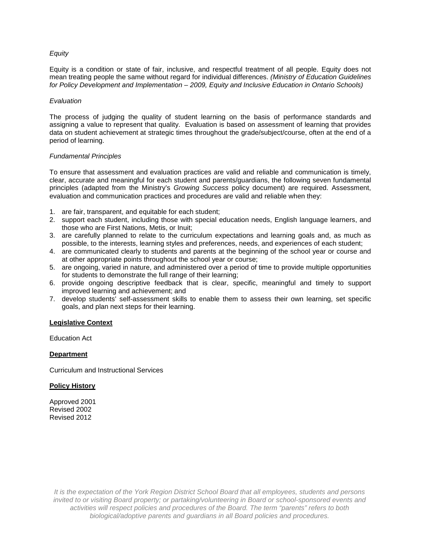## *Equity*

Equity is a condition or state of fair, inclusive, and respectful treatment of all people. Equity does not mean treating people the same without regard for individual differences. *(Ministry of Education Guidelines for Policy Development and Implementation – 2009, Equity and Inclusive Education in Ontario Schools)*

## *Evaluation*

The process of judging the quality of student learning on the basis of performance standards and assigning a value to represent that quality. Evaluation is based on assessment of learning that provides data on student achievement at strategic times throughout the grade/subject/course, often at the end of a period of learning.

## *Fundamental Principles*

To ensure that assessment and evaluation practices are valid and reliable and communication is timely, clear, accurate and meaningful for each student and parents/guardians, the following seven fundamental principles (adapted from the Ministry's *Growing Success* policy document) are required. Assessment, evaluation and communication practices and procedures are valid and reliable when they:

- 1. are fair, transparent, and equitable for each student;
- 2. support each student, including those with special education needs, English language learners, and those who are First Nations, Metis, or Inuit;
- 3. are carefully planned to relate to the curriculum expectations and learning goals and, as much as possible, to the interests, learning styles and preferences, needs, and experiences of each student;
- 4. are communicated clearly to students and parents at the beginning of the school year or course and at other appropriate points throughout the school year or course;
- 5. are ongoing, varied in nature, and administered over a period of time to provide multiple opportunities for students to demonstrate the full range of their learning;
- 6. provide ongoing descriptive feedback that is clear, specific, meaningful and timely to support improved learning and achievement; and
- 7. develop students' self-assessment skills to enable them to assess their own learning, set specific goals, and plan next steps for their learning.

## **Legislative Context**

Education Act

## **Department**

Curriculum and Instructional Services

## **Policy History**

Approved 2001 Revised 2002 Revised 2012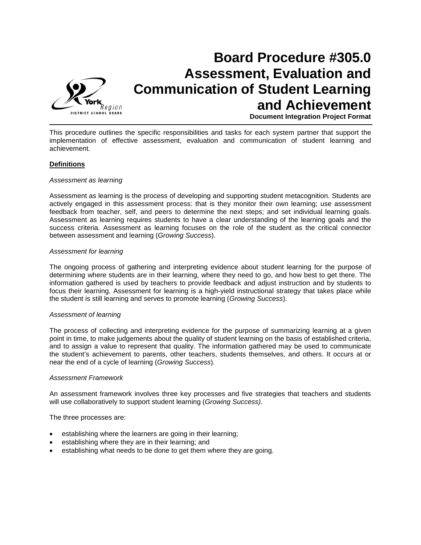

# **Board Procedure #305.0 Assessment, Evaluation and Communication of Student Learning and Achievement**

**Document Integration Project Format**

This procedure outlines the specific responsibilities and tasks for each system partner that support the implementation of effective assessment, evaluation and communication of student learning and achievement.

## **Definitions**

#### *Assessment as learning*

Assessment as learning is the process of developing and supporting student metacognition. Students are actively engaged in this assessment process: that is they monitor their own learning; use assessment feedback from teacher, self, and peers to determine the next steps; and set individual learning goals. Assessment as learning requires students to have a clear understanding of the learning goals and the success criteria. Assessment as learning focuses on the role of the student as the critical connector between assessment and learning (*Growing Success*).

#### *Assessment for learning*

The ongoing process of gathering and interpreting evidence about student learning for the purpose of determining where students are in their learning, where they need to go, and how best to get there. The information gathered is used by teachers to provide feedback and adjust instruction and by students to focus their learning. Assessment for learning is a high-yield instructional strategy that takes place while the student is still learning and serves to promote learning (*Growing Success*).

## *Assessment of learning*

The process of collecting and interpreting evidence for the purpose of summarizing learning at a given point in time, to make judgements about the quality of student learning on the basis of established criteria, and to assign a value to represent that quality. The information gathered may be used to communicate the student's achievement to parents, other teachers, students themselves, and others. It occurs at or near the end of a cycle of learning (*Growing Success*).

#### *Assessment Framework*

An assessment framework involves three key processes and five strategies that teachers and students will use collaboratively to support student learning (*Growing Success)*.

The three processes are:

- establishing where the learners are going in their learning;
- establishing where they are in their learning; and
- establishing what needs to be done to get them where they are going.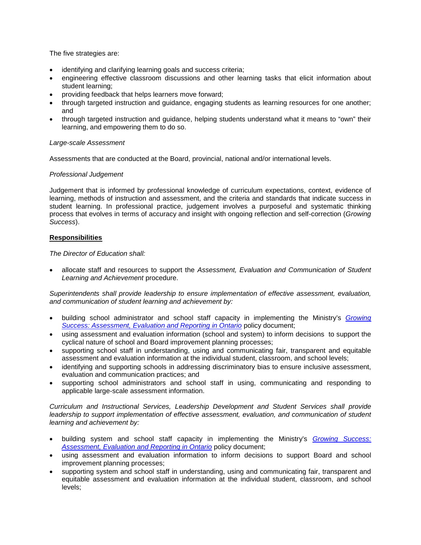The five strategies are:

- identifying and clarifying learning goals and success criteria;
- engineering effective classroom discussions and other learning tasks that elicit information about student learning;
- providing feedback that helps learners move forward;
- through targeted instruction and guidance, engaging students as learning resources for one another; and
- through targeted instruction and guidance, helping students understand what it means to "own" their learning, and empowering them to do so.

## *Large-scale Assessment*

Assessments that are conducted at the Board, provincial, national and/or international levels.

## *Professional Judgement*

Judgement that is informed by professional knowledge of curriculum expectations, context, evidence of learning, methods of instruction and assessment, and the criteria and standards that indicate success in student learning. In professional practice, judgement involves a purposeful and systematic thinking process that evolves in terms of accuracy and insight with ongoing reflection and self-correction (*Growing Success*).

## **Responsibilities**

*The Director of Education shall:*

• allocate staff and resources to support the *Assessment, Evaluation and Communication of Student Learning and Achievement* procedure.

*Superintendents shall provide leadership to ensure implementation of effective assessment, evaluation, and communication of student learning and achievement by:*

- building school administrator and school staff capacity in implementing the Ministry's *[Growing](http://www.yrdsb.edu.on.ca/pdfs/w/schools/MinistryParentBrochure.pdf)*  **[Success: Assessment, Evaluation and Reporting in Ontario](http://www.yrdsb.edu.on.ca/pdfs/w/schools/MinistryParentBrochure.pdf) policy document;**
- using assessment and evaluation information (school and system) to inform decisions to support the cyclical nature of school and Board improvement planning processes;
- supporting school staff in understanding, using and communicating fair, transparent and equitable assessment and evaluation information at the individual student, classroom, and school levels;
- identifying and supporting schools in addressing discriminatory bias to ensure inclusive assessment, evaluation and communication practices; and
- supporting school administrators and school staff in using, communicating and responding to applicable large-scale assessment information.

*Curriculum and Instructional Services, Leadership Development and Student Services shall provide leadership to support implementation of effective assessment, evaluation, and communication of student learning and achievement by:*

- building system and school staff capacity in implementing the Ministry's *[Growing Success:](http://www.yrdsb.edu.on.ca/pdfs/w/schools/MinistryParentBrochure.pdf)  [Assessment, Evaluation and Reporting in Ontario](http://www.yrdsb.edu.on.ca/pdfs/w/schools/MinistryParentBrochure.pdf)* policy document;
- using assessment and evaluation information to inform decisions to support Board and school improvement planning processes;
- supporting system and school staff in understanding, using and communicating fair, transparent and equitable assessment and evaluation information at the individual student, classroom, and school levels;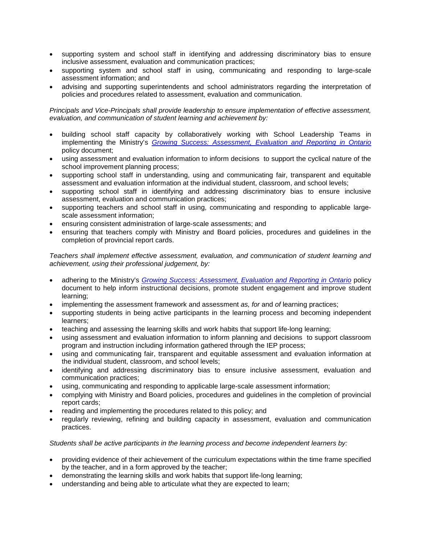- supporting system and school staff in identifying and addressing discriminatory bias to ensure inclusive assessment, evaluation and communication practices;
- supporting system and school staff in using, communicating and responding to large-scale assessment information; and
- advising and supporting superintendents and school administrators regarding the interpretation of policies and procedures related to assessment, evaluation and communication.

*Principals and Vice-Principals shall provide leadership to ensure implementation of effective assessment, evaluation, and communication of student learning and achievement by:*

- building school staff capacity by collaboratively working with School Leadership Teams in implementing the Ministry's *[Growing Success: Assessment, Evaluation and Reporting in Ontario](http://www.yrdsb.edu.on.ca/pdfs/w/schools/MinistryParentBrochure.pdf)* policy document;
- using assessment and evaluation information to inform decisions to support the cyclical nature of the school improvement planning process;
- supporting school staff in understanding, using and communicating fair, transparent and equitable assessment and evaluation information at the individual student, classroom, and school levels;
- supporting school staff in identifying and addressing discriminatory bias to ensure inclusive assessment, evaluation and communication practices;
- supporting teachers and school staff in using, communicating and responding to applicable largescale assessment information;
- ensuring consistent administration of large-scale assessments; and
- ensuring that teachers comply with Ministry and Board policies, procedures and guidelines in the completion of provincial report cards.

*Teachers shall implement effective assessment, evaluation, and communication of student learning and achievement, using their professional judgement, by:*

- adhering to the Ministry's *[Growing Success: Assessment, Evaluation and Reporting in Ontario](http://www.yrdsb.edu.on.ca/pdfs/w/schools/MinistryParentBrochure.pdf)* policy document to help inform instructional decisions, promote student engagement and improve student learning;
- implementing the assessment framework and assessment *as, for* and *of* learning practices;
- supporting students in being active participants in the learning process and becoming independent learners;
- teaching and assessing the learning skills and work habits that support life-long learning;
- using assessment and evaluation information to inform planning and decisions to support classroom program and instruction including information gathered through the IEP process;
- using and communicating fair, transparent and equitable assessment and evaluation information at the individual student, classroom, and school levels;
- identifying and addressing discriminatory bias to ensure inclusive assessment, evaluation and communication practices;
- using, communicating and responding to applicable large-scale assessment information;
- complying with Ministry and Board policies, procedures and guidelines in the completion of provincial report cards;
- reading and implementing the procedures related to this policy; and
- regularly reviewing, refining and building capacity in assessment, evaluation and communication practices.

## *Students shall be active participants in the learning process and become independent learners by:*

- providing evidence of their achievement of the curriculum expectations within the time frame specified by the teacher, and in a form approved by the teacher;
- demonstrating the learning skills and work habits that support life-long learning;
- understanding and being able to articulate what they are expected to learn;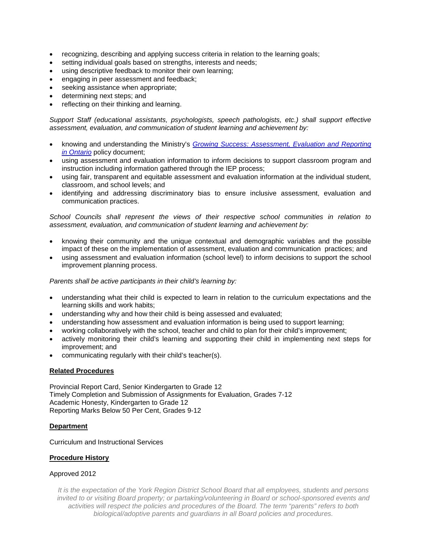- recognizing, describing and applying success criteria in relation to the learning goals;
- setting individual goals based on strengths, interests and needs;
- using descriptive feedback to monitor their own learning;
- engaging in peer assessment and feedback;
- seeking assistance when appropriate;
- determining next steps; and
- reflecting on their thinking and learning.

*Support Staff (educational assistants, psychologists, speech pathologists, etc.) shall support effective assessment, evaluation, and communication of student learning and achievement by:*

- knowing and understanding the Ministry's *[Growing Success: Assessment, Evaluation and Reporting](http://www.yrdsb.edu.on.ca/pdfs/w/schools/MinistryParentBrochure.pdf)  [in Ontario](http://www.yrdsb.edu.on.ca/pdfs/w/schools/MinistryParentBrochure.pdf)* policy document;
- using assessment and evaluation information to inform decisions to support classroom program and instruction including information gathered through the IEP process;
- using fair, transparent and equitable assessment and evaluation information at the individual student, classroom, and school levels; and
- identifying and addressing discriminatory bias to ensure inclusive assessment, evaluation and communication practices.

*School Councils shall represent the views of their respective school communities in relation to assessment, evaluation, and communication of student learning and achievement by:*

- knowing their community and the unique contextual and demographic variables and the possible impact of these on the implementation of assessment, evaluation and communication practices; and
- using assessment and evaluation information (school level) to inform decisions to support the school improvement planning process.

*Parents shall be active participants in their child's learning by:*

- understanding what their child is expected to learn in relation to the curriculum expectations and the learning skills and work habits;
- understanding why and how their child is being assessed and evaluated;
- understanding how assessment and evaluation information is being used to support learning;
- working collaboratively with the school, teacher and child to plan for their child's improvement;
- actively monitoring their child's learning and supporting their child in implementing next steps for improvement; and
- communicating regularly with their child's teacher(s).

## **Related Procedures**

Provincial Report Card, Senior Kindergarten to Grade 12 Timely Completion and Submission of Assignments for Evaluation, Grades 7-12 Academic Honesty, Kindergarten to Grade 12 Reporting Marks Below 50 Per Cent, Grades 9-12

## **Department**

Curriculum and Instructional Services

## **Procedure History**

## Approved 2012

*It is the expectation of the York Region District School Board that all employees, students and persons invited to or visiting Board property; or partaking/volunteering in Board or school-sponsored events and activities will respect the policies and procedures of the Board. The term "parents" refers to both biological/adoptive parents and guardians in all Board policies and procedures.*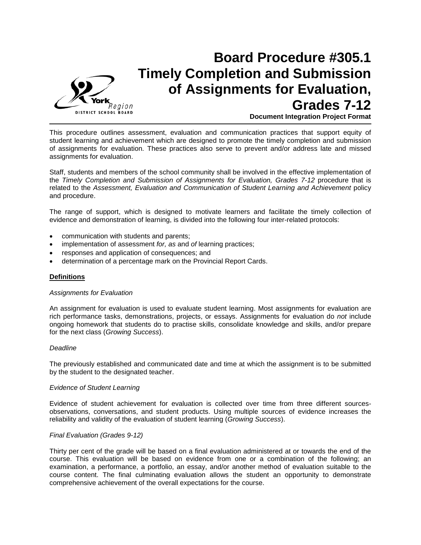

## **Board Procedure #305.1 Timely Completion and Submission of Assignments for Evaluation, Grades 7-12 Document Integration Project Format**

This procedure outlines assessment, evaluation and communication practices that support equity of student learning and achievement which are designed to promote the timely completion and submission of assignments for evaluation. These practices also serve to prevent and/or address late and missed assignments for evaluation.

Staff, students and members of the school community shall be involved in the effective implementation of the *Timely Completion and Submission of Assignments for Evaluation, Grades 7-12* procedure that is related to the *Assessment, Evaluation and Communication of Student Learning and Achievement* policy and procedure.

The range of support, which is designed to motivate learners and facilitate the timely collection of evidence and demonstration of learning, is divided into the following four inter-related protocols:

- communication with students and parents;
- implementation of assessment *for, as* and *of* learning practices;
- responses and application of consequences; and
- determination of a percentage mark on the Provincial Report Cards.

#### **Definitions**

#### *Assignments for Evaluation*

An assignment for evaluation is used to evaluate student learning. Most assignments for evaluation are rich performance tasks, demonstrations, projects, or essays. Assignments for evaluation do *not* include ongoing homework that students do to practise skills, consolidate knowledge and skills, and/or prepare for the next class (*Growing Success*).

#### *Deadline*

The previously established and communicated date and time at which the assignment is to be submitted by the student to the designated teacher.

#### *Evidence of Student Learning*

Evidence of student achievement for evaluation is collected over time from three different sourcesobservations, conversations, and student products. Using multiple sources of evidence increases the reliability and validity of the evaluation of student learning (*Growing Success*).

#### *Final Evaluation (Grades 9-12)*

Thirty per cent of the grade will be based on a final evaluation administered at or towards the end of the course. This evaluation will be based on evidence from one or a combination of the following; an examination, a performance, a portfolio, an essay, and/or another method of evaluation suitable to the course content. The final culminating evaluation allows the student an opportunity to demonstrate comprehensive achievement of the overall expectations for the course.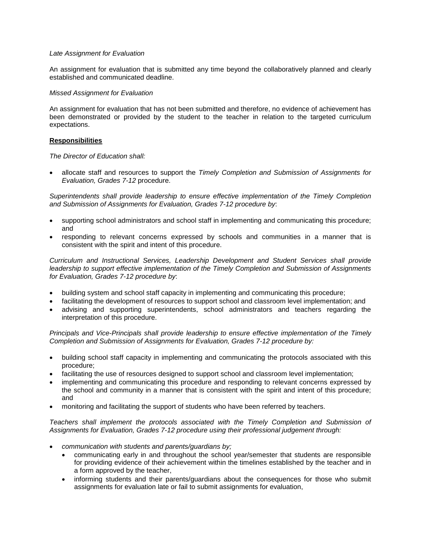## *Late Assignment for Evaluation*

An assignment for evaluation that is submitted any time beyond the collaboratively planned and clearly established and communicated deadline.

## *Missed Assignment for Evaluation*

An assignment for evaluation that has not been submitted and therefore, no evidence of achievement has been demonstrated or provided by the student to the teacher in relation to the targeted curriculum expectations.

## **Responsibilities**

#### *The Director of Education shall:*

• allocate staff and resources to support the *Timely Completion and Submission of Assignments for Evaluation, Grades 7-12* procedure.

*Superintendents shall provide leadership to ensure effective implementation of the Timely Completion and Submission of Assignments for Evaluation, Grades 7-12 procedure by*:

- supporting school administrators and school staff in implementing and communicating this procedure; and
- responding to relevant concerns expressed by schools and communities in a manner that is consistent with the spirit and intent of this procedure.

*Curriculum and Instructional Services, Leadership Development and Student Services shall provide leadership to support effective implementation of the Timely Completion and Submission of Assignments for Evaluation, Grades 7-12 procedure by*:

- building system and school staff capacity in implementing and communicating this procedure;
- facilitating the development of resources to support school and classroom level implementation; and
- advising and supporting superintendents, school administrators and teachers regarding the interpretation of this procedure.

*Principals and Vice-Principals shall provide leadership to ensure effective implementation of the Timely Completion and Submission of Assignments for Evaluation, Grades 7-12 procedure by:*

- building school staff capacity in implementing and communicating the protocols associated with this procedure;
- facilitating the use of resources designed to support school and classroom level implementation;
- implementing and communicating this procedure and responding to relevant concerns expressed by the school and community in a manner that is consistent with the spirit and intent of this procedure; and
- monitoring and facilitating the support of students who have been referred by teachers.

*Teachers shall implement the protocols associated with the Timely Completion and Submission of Assignments for Evaluation, Grades 7-12 procedure using their professional judgement through:*

- *communication with students and parents/guardians by;*
	- communicating early in and throughout the school year/semester that students are responsible for providing evidence of their achievement within the timelines established by the teacher and in a form approved by the teacher,
	- informing students and their parents/guardians about the consequences for those who submit assignments for evaluation late or fail to submit assignments for evaluation,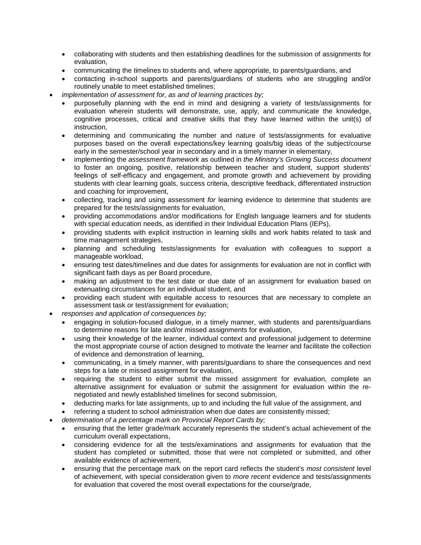- collaborating with students and then establishing deadlines for the submission of assignments for evaluation,
- communicating the timelines to students and, where appropriate, to parents/guardians, and
- contacting in-school supports and parents/guardians of students who are struggling and/or routinely unable to meet established timelines;
- *implementation of assessment for, as and of learning practices by;* 
	- purposefully planning with the end in mind and designing a variety of tests/assignments for evaluation wherein students will demonstrate, use, apply, and communicate the knowledge, cognitive processes, critical and creative skills that they have learned within the unit(s) of instruction,
	- determining and communicating the number and nature of tests/assignments for evaluative purposes based on the overall expectations/key learning goals/big ideas of the subject/course early in the semester/school year in secondary and in a timely manner in elementary,
	- implementing the *assessment framework* as outlined in *the Ministry's Growing Success document* to foster an ongoing, positive, relationship between teacher and student, support students' feelings of self-efficacy and engagement, and promote growth and achievement by providing students with clear learning goals, success criteria, descriptive feedback, differentiated instruction and coaching for improvement,
	- collecting, tracking and using assessment *for* learning evidence to determine that students are prepared for the tests/assignments for evaluation,
	- providing accommodations and/or modifications for English language learners and for students with special education needs, as identified in their Individual Education Plans (IEPs),
	- providing students with explicit instruction in learning skills and work habits related to task and time management strategies,
	- planning and scheduling tests/assignments for evaluation with colleagues to support a manageable workload,
	- ensuring test dates/timelines and due dates for assignments for evaluation are not in conflict with significant faith days as per Board procedure,
	- making an adjustment to the test date or due date of an assignment for evaluation based on extenuating circumstances for an individual student, and
	- providing each student with equitable access to resources that are necessary to complete an assessment task or test/assignment for evaluation;
- *responses and application of consequences by;*
	- engaging in solution-focused dialogue, in a timely manner, with students and parents/guardians to determine reasons for late and/or missed assignments for evaluation,
	- using their knowledge of the learner, individual context and professional judgement to determine the most appropriate course of action designed to motivate the learner and facilitate the collection of evidence and demonstration of learning,
	- communicating, in a timely manner, with parents/guardians to share the consequences and next steps for a late or missed assignment for evaluation,
	- requiring the student to either submit the missed assignment for evaluation, complete an alternative assignment for evaluation or submit the assignment for evaluation within the renegotiated and newly established timelines for second submission,
	- deducting marks for late assignments, up to and including the full value of the assignment, and
	- referring a student to school administration when due dates are consistently missed;
- *determination of a percentage mark on Provincial Report Cards by;*
	- ensuring that the letter grade/mark accurately represents the student's actual achievement of the curriculum overall expectations,
	- considering evidence for all the tests/examinations and assignments for evaluation that the student has completed or submitted, those that were not completed or submitted, and other available evidence of achievement,
	- ensuring that the percentage mark on the report card reflects the student's *most consistent* level of achievement, with special consideration given to *more recent* evidence and tests/assignments for evaluation that covered the most overall expectations for the course/grade,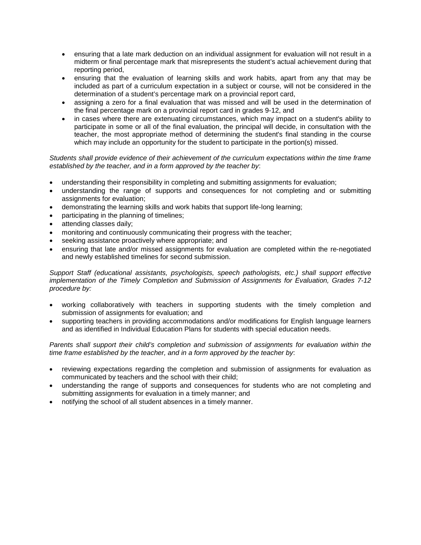- ensuring that a late mark deduction on an individual assignment for evaluation will not result in a midterm or final percentage mark that misrepresents the student's actual achievement during that reporting period,
- ensuring that the evaluation of learning skills and work habits, apart from any that may be included as part of a curriculum expectation in a subject or course, will not be considered in the determination of a student's percentage mark on a provincial report card,
- assigning a zero for a final evaluation that was missed and will be used in the determination of the final percentage mark on a provincial report card in grades 9-12, and
- in cases where there are extenuating circumstances, which may impact on a student's ability to participate in some or all of the final evaluation, the principal will decide, in consultation with the teacher, the most appropriate method of determining the student's final standing in the course which may include an opportunity for the student to participate in the portion(s) missed.

## *Students shall provide evidence of their achievement of the curriculum expectations within the time frame established by the teacher, and in a form approved by the teacher by*:

- understanding their responsibility in completing and submitting assignments for evaluation;
- understanding the range of supports and consequences for not completing and or submitting assignments for evaluation;
- demonstrating the learning skills and work habits that support life-long learning;
- participating in the planning of timelines;
- attending classes daily;
- monitoring and continuously communicating their progress with the teacher;
- seeking assistance proactively where appropriate; and
- ensuring that late and/or missed assignments for evaluation are completed within the re-negotiated and newly established timelines for second submission.

*Support Staff (educational assistants, psychologists, speech pathologists, etc.) shall support effective implementation of the Timely Completion and Submission of Assignments for Evaluation, Grades 7-12 procedure by:*

- working collaboratively with teachers in supporting students with the timely completion and submission of assignments for evaluation; and
- supporting teachers in providing accommodations and/or modifications for English language learners and as identified in Individual Education Plans for students with special education needs.

*Parents shall support their child's completion and submission of assignments for evaluation within the time frame established by the teacher, and in a form approved by the teacher by*:

- reviewing expectations regarding the completion and submission of assignments for evaluation as communicated by teachers and the school with their child;
- understanding the range of supports and consequences for students who are not completing and submitting assignments for evaluation in a timely manner; and
- notifying the school of all student absences in a timely manner.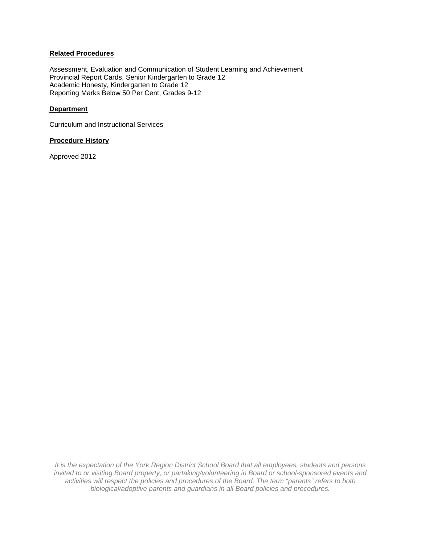## **Related Procedures**

Assessment, Evaluation and Communication of Student Learning and Achievement Provincial Report Cards, Senior Kindergarten to Grade 12 Academic Honesty, Kindergarten to Grade 12 Reporting Marks Below 50 Per Cent, Grades 9-12

## **Department**

Curriculum and Instructional Services

## **Procedure History**

Approved 2012

*It is the expectation of the York Region District School Board that all employees, students and persons invited to or visiting Board property; or partaking/volunteering in Board or school-sponsored events and activities will respect the policies and procedures of the Board. The term "parents" refers to both biological/adoptive parents and guardians in all Board policies and procedures.*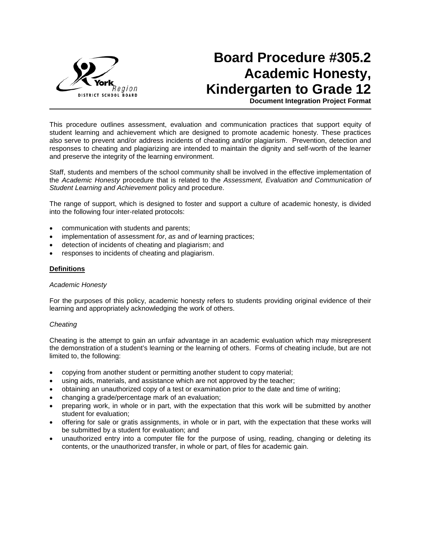

# **Board Procedure #305.2 Academic Honesty, Kindergarten to Grade 12**

**Document Integration Project Format**

This procedure outlines assessment, evaluation and communication practices that support equity of student learning and achievement which are designed to promote academic honesty. These practices also serve to prevent and/or address incidents of cheating and/or plagiarism. Prevention, detection and responses to cheating and plagiarizing are intended to maintain the dignity and self-worth of the learner and preserve the integrity of the learning environment.

Staff, students and members of the school community shall be involved in the effective implementation of the *Academic Honesty* procedure that is related to the *Assessment, Evaluation and Communication of Student Learning and Achievement* policy and procedure.

The range of support, which is designed to foster and support a culture of academic honesty, is divided into the following four inter-related protocols:

- communication with students and parents;
- implementation of assessment *for*, *as* and *of* learning practices;
- detection of incidents of cheating and plagiarism; and
- responses to incidents of cheating and plagiarism.

### **Definitions**

## *Academic Honesty*

For the purposes of this policy, academic honesty refers to students providing original evidence of their learning and appropriately acknowledging the work of others.

#### *Cheating*

Cheating is the attempt to gain an unfair advantage in an academic evaluation which may misrepresent the demonstration of a student's learning or the learning of others. Forms of cheating include, but are not limited to, the following:

- copying from another student or permitting another student to copy material;
- using aids, materials, and assistance which are not approved by the teacher;
- obtaining an unauthorized copy of a test or examination prior to the date and time of writing;
- changing a grade/percentage mark of an evaluation;
- preparing work, in whole or in part, with the expectation that this work will be submitted by another student for evaluation;
- offering for sale or gratis assignments, in whole or in part, with the expectation that these works will be submitted by a student for evaluation; and
- unauthorized entry into a computer file for the purpose of using, reading, changing or deleting its contents, or the unauthorized transfer, in whole or part, of files for academic gain.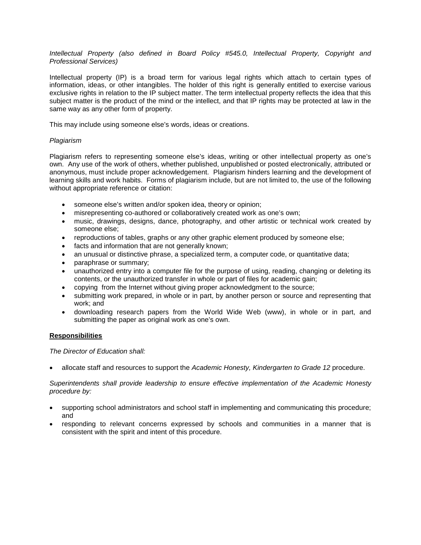*Intellectual Property (also defined in Board Policy #545.0, Intellectual Property, Copyright and Professional Services)*

Intellectual property (IP) is a broad term for various legal rights which attach to certain types of information, ideas, or other intangibles. The holder of this right is generally entitled to exercise various exclusive rights in relation to the IP subject matter. The term intellectual property reflects the idea that this subject matter is the product of the mind or the intellect, and that IP rights may be protected at law in the same way as any other form of property.

This may include using someone else's words, ideas or creations.

## *Plagiarism*

Plagiarism refers to representing someone else's ideas, writing or other intellectual property as one's own. Any use of the work of others, whether published, unpublished or posted electronically, attributed or anonymous, must include proper acknowledgement. Plagiarism hinders learning and the development of learning skills and work habits. Forms of plagiarism include, but are not limited to, the use of the following without appropriate reference or citation:

- someone else's written and/or spoken idea, theory or opinion;
- misrepresenting co-authored or collaboratively created work as one's own;
- music, drawings, designs, dance, photography, and other artistic or technical work created by someone else;
- reproductions of tables, graphs or any other graphic element produced by someone else;
- facts and information that are not generally known;
- an unusual or distinctive phrase, a specialized term, a computer code, or quantitative data;
- paraphrase or summary;
- unauthorized entry into a computer file for the purpose of using, reading, changing or deleting its contents, or the unauthorized transfer in whole or part of files for academic gain;
- copying from the Internet without giving proper acknowledgment to the source;
- submitting work prepared, in whole or in part, by another person or source and representing that work; and
- downloading research papers from the World Wide Web (www), in whole or in part, and submitting the paper as original work as one's own.

## **Responsibilities**

*The Director of Education shall:*

• allocate staff and resources to support the *Academic Honesty, Kindergarten to Grade 12* procedure.

*Superintendents shall provide leadership to ensure effective implementation of the Academic Honesty procedure by:*

- supporting school administrators and school staff in implementing and communicating this procedure; and
- responding to relevant concerns expressed by schools and communities in a manner that is consistent with the spirit and intent of this procedure.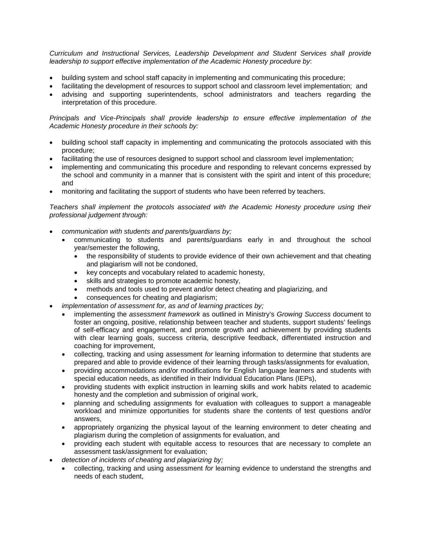*Curriculum and Instructional Services, Leadership Development and Student Services shall provide leadership to support effective implementation of the Academic Honesty procedure by*:

- building system and school staff capacity in implementing and communicating this procedure;
- facilitating the development of resources to support school and classroom level implementation; and
- advising and supporting superintendents, school administrators and teachers regarding the interpretation of this procedure.

*Principals and Vice-Principals shall provide leadership to ensure effective implementation of the Academic Honesty procedure in their schools by:* 

- building school staff capacity in implementing and communicating the protocols associated with this procedure;
- facilitating the use of resources designed to support school and classroom level implementation;
- implementing and communicating this procedure and responding to relevant concerns expressed by the school and community in a manner that is consistent with the spirit and intent of this procedure; and
- monitoring and facilitating the support of students who have been referred by teachers.

*Teachers shall implement the protocols associated with the Academic Honesty procedure using their professional judgement through:*

- *communication with students and parents/guardians by;*
	- communicating to students and parents/guardians early in and throughout the school year/semester the following,
		- the responsibility of students to provide evidence of their own achievement and that cheating and plagiarism will not be condoned,
		- key concepts and vocabulary related to academic honesty,
		- skills and strategies to promote academic honesty,
		- methods and tools used to prevent and/or detect cheating and plagiarizing, and
		- consequences for cheating and plagiarism;
	- *implementation of assessment for, as and of learning practices by;* 
		- implementing the *assessment framework* as outlined in Ministry's *Growing Success* document to foster an ongoing, positive, relationship between teacher and students, support students' feelings of self-efficacy and engagement, and promote growth and achievement by providing students with clear learning goals, success criteria, descriptive feedback, differentiated instruction and coaching for improvement,
		- collecting, tracking and using assessment *for* learning information to determine that students are prepared and able to provide evidence of their learning through tasks/assignments for evaluation,
		- providing accommodations and/or modifications for English language learners and students with special education needs, as identified in their Individual Education Plans (IEPs),
		- providing students with explicit instruction in learning skills and work habits related to academic honesty and the completion and submission of original work,
		- planning and scheduling assignments for evaluation with colleagues to support a manageable workload and minimize opportunities for students share the contents of test questions and/or answers,
		- appropriately organizing the physical layout of the learning environment to deter cheating and plagiarism during the completion of assignments for evaluation, and
		- providing each student with equitable access to resources that are necessary to complete an assessment task/assignment for evaluation;
- *detection of incidents of cheating and plagiarizing by;* 
	- collecting, tracking and using assessment *for* learning evidence to understand the strengths and needs of each student,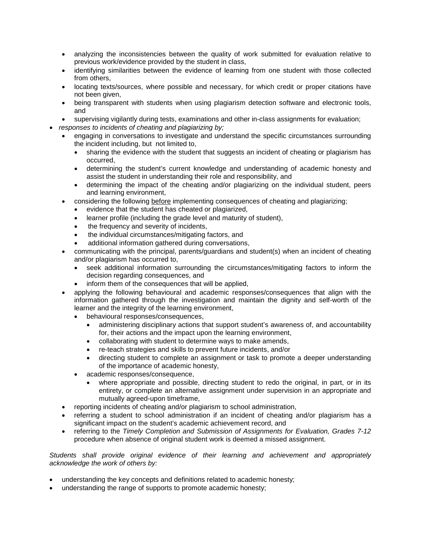- analyzing the inconsistencies between the quality of work submitted for evaluation relative to previous work/evidence provided by the student in class,
- identifying similarities between the evidence of learning from one student with those collected from others,
- locating texts/sources, where possible and necessary, for which credit or proper citations have not been given,
- being transparent with students when using plagiarism detection software and electronic tools, and
- supervising vigilantly during tests, examinations and other in-class assignments for evaluation;
- *responses to incidents of cheating and plagiarizing by;*
	- engaging in conversations to investigate and understand the specific circumstances surrounding the incident including, but not limited to,
		- sharing the evidence with the student that suggests an incident of cheating or plagiarism has occurred,
		- determining the student's current knowledge and understanding of academic honesty and assist the student in understanding their role and responsibility, and
		- determining the impact of the cheating and/or plagiarizing on the individual student, peers and learning environment,
		- considering the following before implementing consequences of cheating and plagiarizing;
			- evidence that the student has cheated or plagiarized,
			- learner profile (including the grade level and maturity of student),
			- the frequency and severity of incidents,
			- the individual circumstances/mitigating factors, and
			- additional information gathered during conversations,
	- communicating with the principal, parents/guardians and student(s) when an incident of cheating and/or plagiarism has occurred to,
		- seek additional information surrounding the circumstances/mitigating factors to inform the decision regarding consequences, and
		- inform them of the consequences that will be applied,
	- applying the following behavioural and academic responses/consequences that align with the information gathered through the investigation and maintain the dignity and self-worth of the learner and the integrity of the learning environment,
		- behavioural responses/consequences,
			- administering disciplinary actions that support student's awareness of, and accountability for, their actions and the impact upon the learning environment,
			- collaborating with student to determine ways to make amends,
			- re-teach strategies and skills to prevent future incidents, and/or
			- directing student to complete an assignment or task to promote a deeper understanding of the importance of academic honesty,
		- academic responses/consequence,
			- where appropriate and possible, directing student to redo the original, in part, or in its entirety, or complete an alternative assignment under supervision in an appropriate and mutually agreed-upon timeframe,
	- reporting incidents of cheating and/or plagiarism to school administration,
	- referring a student to school administration if an incident of cheating and/or plagiarism has a significant impact on the student's academic achievement record, and
	- referring to the *Timely Completion and Submission of Assignments for Evaluation, Grades 7-12* procedure when absence of original student work is deemed a missed assignment.

*Students shall provide original evidence of their learning and achievement and appropriately acknowledge the work of others by:*

- understanding the key concepts and definitions related to academic honesty;
- understanding the range of supports to promote academic honesty;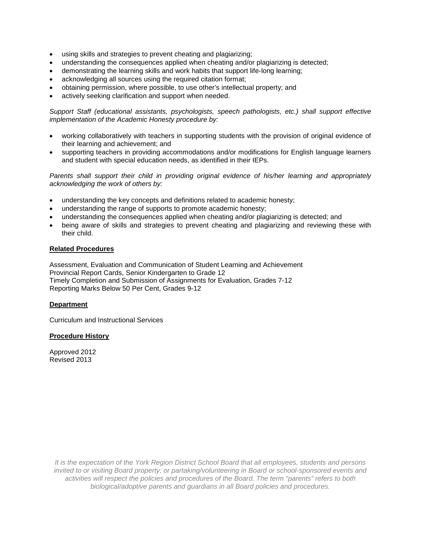- using skills and strategies to prevent cheating and plagiarizing;
- understanding the consequences applied when cheating and/or plagiarizing is detected;
- demonstrating the learning skills and work habits that support life-long learning;
- acknowledging all sources using the required citation format;
- obtaining permission, where possible, to use other's intellectual property; and
- actively seeking clarification and support when needed.

*Support Staff (educational assistants, psychologists, speech pathologists, etc.) shall support effective implementation of the Academic Honesty procedure by:*

- working collaboratively with teachers in supporting students with the provision of original evidence of their learning and achievement; and
- supporting teachers in providing accommodations and/or modifications for English language learners and student with special education needs, as identified in their IEPs.

*Parents shall support their child in providing original evidence of his/her learning and appropriately acknowledging the work of others by:*

- understanding the key concepts and definitions related to academic honesty;
- understanding the range of supports to promote academic honesty;
- understanding the consequences applied when cheating and/or plagiarizing is detected; and
- being aware of skills and strategies to prevent cheating and plagiarizing and reviewing these with their child.

## **Related Procedures**

Assessment, Evaluation and Communication of Student Learning and Achievement Provincial Report Cards, Senior Kindergarten to Grade 12 Timely Completion and Submission of Assignments for Evaluation, Grades 7-12 Reporting Marks Below 50 Per Cent, Grades 9-12

## **Department**

Curriculum and Instructional Services

## **Procedure History**

Approved 2012 Revised 2013

> *It is the expectation of the York Region District School Board that all employees, students and persons invited to or visiting Board property; or partaking/volunteering in Board or school-sponsored events and activities will respect the policies and procedures of the Board. The term "parents" refers to both biological/adoptive parents and guardians in all Board policies and procedures.*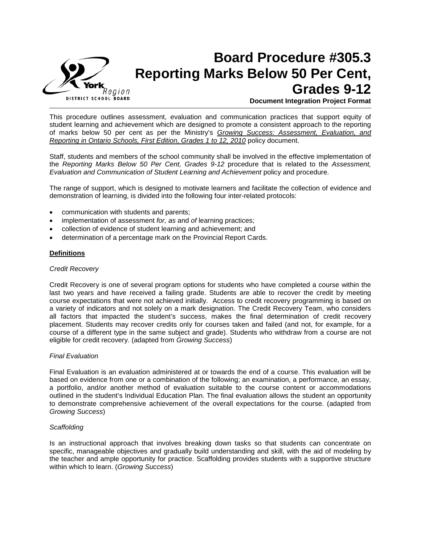

## **Board Procedure #305.3 Reporting Marks Below 50 Per Cent, Grades 9-12 Document Integration Project Format**

This procedure outlines assessment, evaluation and communication practices that support equity of student learning and achievement which are designed to promote a consistent approach to the reporting of marks below 50 per cent as per the Ministry's *Growing Success: Assessment, Evaluation, and Reporting in Ontario Schools, First Edition, Grades 1 to 12, 2010* policy document.

Staff, students and members of the school community shall be involved in the effective implementation of the *Reporting Marks Below 50 Per Cent, Grades 9-12* procedure that is related to the *Assessment, Evaluation and Communication of Student Learning and Achievement* policy and procedure.

The range of support, which is designed to motivate learners and facilitate the collection of evidence and demonstration of learning, is divided into the following four inter-related protocols:

- communication with students and parents;
- implementation of assessment *for, as* and *of* learning practices;
- collection of evidence of student learning and achievement; and
- determination of a percentage mark on the Provincial Report Cards.

#### **Definitions**

#### *Credit Recovery*

Credit Recovery is one of several program options for students who have completed a course within the last two years and have received a failing grade. Students are able to recover the credit by meeting course expectations that were not achieved initially. Access to credit recovery programming is based on a variety of indicators and not solely on a mark designation. The Credit Recovery Team, who considers all factors that impacted the student's success, makes the final determination of credit recovery placement. Students may recover credits only for courses taken and failed (and not, for example, for a course of a different type in the same subject and grade). Students who withdraw from a course are not eligible for credit recovery. (adapted from *Growing Success*)

## *Final Evaluation*

Final Evaluation is an evaluation administered at or towards the end of a course. This evaluation will be based on evidence from one or a combination of the following; an examination, a performance, an essay, a portfolio, and/or another method of evaluation suitable to the course content or accommodations outlined in the student's Individual Education Plan. The final evaluation allows the student an opportunity to demonstrate comprehensive achievement of the overall expectations for the course. (adapted from *Growing Success*)

#### *Scaffolding*

Is an instructional approach that involves breaking down tasks so that students can concentrate on specific, manageable objectives and gradually build understanding and skill, with the aid of modeling by the teacher and ample opportunity for practice. Scaffolding provides students with a supportive structure within which to learn. (*Growing Success*)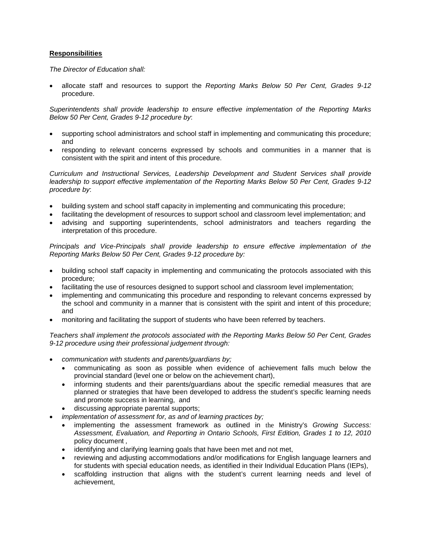## **Responsibilities**

*The Director of Education shall:*

• allocate staff and resources to support the *Reporting Marks Below 50 Per Cent, Grades 9-12*  procedure.

*Superintendents shall provide leadership to ensure effective implementation of the Reporting Marks Below 50 Per Cent, Grades 9-12 procedure by*:

- supporting school administrators and school staff in implementing and communicating this procedure; and
- responding to relevant concerns expressed by schools and communities in a manner that is consistent with the spirit and intent of this procedure.

*Curriculum and Instructional Services, Leadership Development and Student Services shall provide leadership to support effective implementation of the Reporting Marks Below 50 Per Cent, Grades 9-12 procedure by*:

- building system and school staff capacity in implementing and communicating this procedure;
- facilitating the development of resources to support school and classroom level implementation; and
- advising and supporting superintendents, school administrators and teachers regarding the interpretation of this procedure.

*Principals and Vice-Principals shall provide leadership to ensure effective implementation of the Reporting Marks Below 50 Per Cent, Grades 9-12 procedure by:*

- building school staff capacity in implementing and communicating the protocols associated with this procedure;
- facilitating the use of resources designed to support school and classroom level implementation;
- implementing and communicating this procedure and responding to relevant concerns expressed by the school and community in a manner that is consistent with the spirit and intent of this procedure; and
- monitoring and facilitating the support of students who have been referred by teachers.

*Teachers shall implement the protocols associated with the Reporting Marks Below 50 Per Cent, Grades 9-12 procedure using their professional judgement through:*

- *communication with students and parents/guardians by;*
	- communicating as soon as possible when evidence of achievement falls much below the provincial standard (level one or below on the achievement chart),
	- informing students and their parents/guardians about the specific remedial measures that are planned or strategies that have been developed to address the student's specific learning needs and promote success in learning, and
	- discussing appropriate parental supports;
- *implementation of assessment for, as and of learning practices by;* 
	- implementing the assessment framework as outlined in the Ministry's *Growing Success: Assessment, Evaluation, and Reporting in Ontario Schools, First Edition, Grades 1 to 12, 2010* policy document *,*
	- identifying and clarifying learning goals that have been met and not met,
	- reviewing and adjusting accommodations and/or modifications for English language learners and for students with special education needs, as identified in their Individual Education Plans (IEPs),
	- scaffolding instruction that aligns with the student's current learning needs and level of achievement,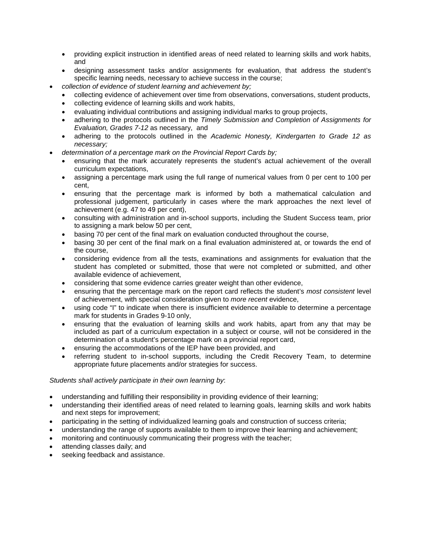- providing explicit instruction in identified areas of need related to learning skills and work habits, and
- designing assessment tasks and/or assignments for evaluation, that address the student's specific learning needs, necessary to achieve success in the course;
- *collection of evidence of student learning and achievement by;* 
	- collecting evidence of achievement over time from observations, conversations, student products,
	- collecting evidence of learning skills and work habits,
	- evaluating individual contributions and assigning individual marks to group projects,
	- adhering to the protocols outlined in the *Timely Submission and Completion of Assignments for Evaluation, Grades 7-12* as necessary, and
	- adhering to the protocols outlined in the *Academic Honesty, Kindergarten to Grade 12 as necessary;*
- *determination of a percentage mark on the Provincial Report Cards by;*
	- ensuring that the mark accurately represents the student's actual achievement of the overall curriculum expectations,
	- assigning a percentage mark using the full range of numerical values from 0 per cent to 100 per cent,
	- ensuring that the percentage mark is informed by both a mathematical calculation and professional judgement, particularly in cases where the mark approaches the next level of achievement (e.g. 47 to 49 per cent),
	- consulting with administration and in-school supports, including the Student Success team, prior to assigning a mark below 50 per cent,
	- basing 70 per cent of the final mark on evaluation conducted throughout the course,
	- basing 30 per cent of the final mark on a final evaluation administered at, or towards the end of the course,
	- considering evidence from all the tests, examinations and assignments for evaluation that the student has completed or submitted, those that were not completed or submitted, and other available evidence of achievement,
	- considering that some evidence carries greater weight than other evidence,
	- ensuring that the percentage mark on the report card reflects the student's *most consistent* level of achievement, with special consideration given to *more recent* evidence,
	- using code "I" to indicate when there is insufficient evidence available to determine a percentage mark for students in Grades 9-10 only,
	- ensuring that the evaluation of learning skills and work habits, apart from any that may be included as part of a curriculum expectation in a subject or course, will not be considered in the determination of a student's percentage mark on a provincial report card,
	- ensuring the accommodations of the IEP have been provided, and
	- referring student to in-school supports, including the Credit Recovery Team, to determine appropriate future placements and/or strategies for success.

## *Students shall actively participate in their own learning by*:

- understanding and fulfilling their responsibility in providing evidence of their learning;
- understanding their identified areas of need related to learning goals, learning skills and work habits and next steps for improvement;
- participating in the setting of individualized learning goals and construction of success criteria;
- understanding the range of supports available to them to improve their learning and achievement;
- monitoring and continuously communicating their progress with the teacher;
- attending classes daily; and
- seeking feedback and assistance.